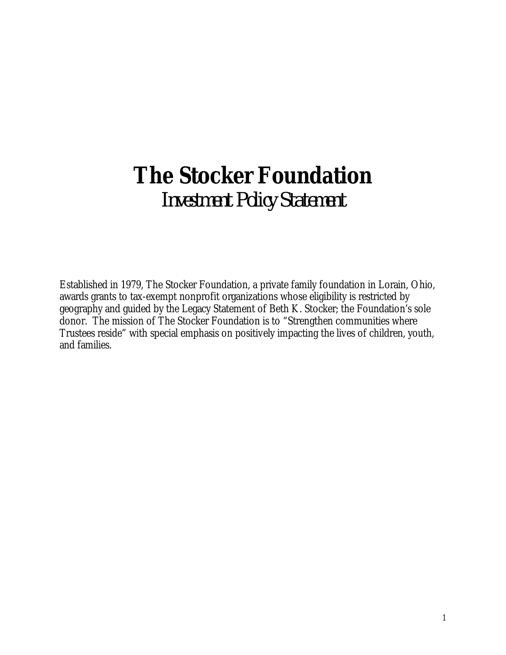# **The Stocker Foundation** *Investment Policy Statement*

Established in 1979, The Stocker Foundation, a private family foundation in Lorain, Ohio, awards grants to tax-exempt nonprofit organizations whose eligibility is restricted by geography and guided by the Legacy Statement of Beth K. Stocker; the Foundation's sole donor. The mission of The Stocker Foundation is to "Strengthen communities where Trustees reside" with special emphasis on positively impacting the lives of children, youth, and families.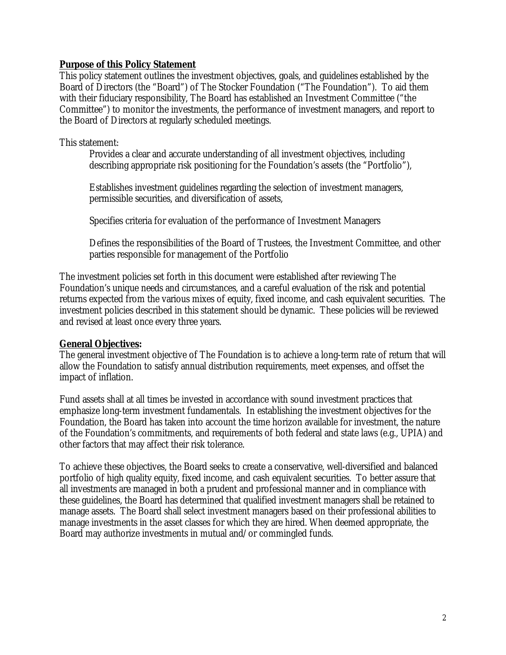#### **Purpose of this Policy Statement**

This policy statement outlines the investment objectives, goals, and guidelines established by the Board of Directors (the "Board") of The Stocker Foundation ("The Foundation"). To aid them with their fiduciary responsibility, The Board has established an Investment Committee ("the Committee") to monitor the investments, the performance of investment managers, and report to the Board of Directors at regularly scheduled meetings.

#### This statement:

Provides a clear and accurate understanding of all investment objectives, including describing appropriate risk positioning for the Foundation's assets (the "Portfolio"),

Establishes investment guidelines regarding the selection of investment managers, permissible securities, and diversification of assets,

Specifies criteria for evaluation of the performance of Investment Managers

Defines the responsibilities of the Board of Trustees, the Investment Committee, and other parties responsible for management of the Portfolio

The investment policies set forth in this document were established after reviewing The Foundation's unique needs and circumstances, and a careful evaluation of the risk and potential returns expected from the various mixes of equity, fixed income, and cash equivalent securities. The investment policies described in this statement should be dynamic. These policies will be reviewed and revised at least once every three years.

#### **General Objectives:**

The general investment objective of The Foundation is to achieve a long-term rate of return that will allow the Foundation to satisfy annual distribution requirements, meet expenses, and offset the impact of inflation.

Fund assets shall at all times be invested in accordance with sound investment practices that emphasize long-term investment fundamentals. In establishing the investment objectives for the Foundation, the Board has taken into account the time horizon available for investment, the nature of the Foundation's commitments, and requirements of both federal and state laws (e.g., UPIA) and other factors that may affect their risk tolerance.

To achieve these objectives, the Board seeks to create a conservative, well-diversified and balanced portfolio of high quality equity, fixed income, and cash equivalent securities. To better assure that all investments are managed in both a prudent and professional manner and in compliance with these guidelines, the Board has determined that qualified investment managers shall be retained to manage assets. The Board shall select investment managers based on their professional abilities to manage investments in the asset classes for which they are hired. When deemed appropriate, the Board may authorize investments in mutual and/or commingled funds.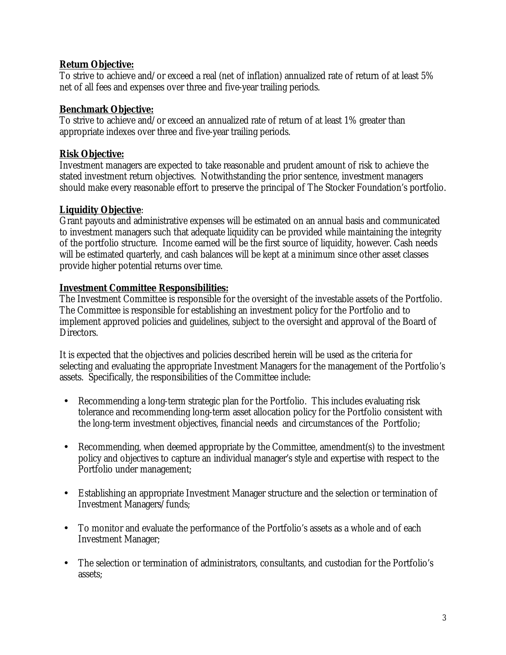## **Return Objective:**

To strive to achieve and/or exceed a real (net of inflation) annualized rate of return of at least 5% net of all fees and expenses over three and five-year trailing periods.

#### **Benchmark Objective:**

To strive to achieve and/or exceed an annualized rate of return of at least 1% greater than appropriate indexes over three and five-year trailing periods.

## **Risk Objective:**

Investment managers are expected to take reasonable and prudent amount of risk to achieve the stated investment return objectives. Notwithstanding the prior sentence, investment managers should make every reasonable effort to preserve the principal of The Stocker Foundation's portfolio.

## **Liquidity Objective**:

Grant payouts and administrative expenses will be estimated on an annual basis and communicated to investment managers such that adequate liquidity can be provided while maintaining the integrity of the portfolio structure. Income earned will be the first source of liquidity, however. Cash needs will be estimated quarterly, and cash balances will be kept at a minimum since other asset classes provide higher potential returns over time.

## **Investment Committee Responsibilities:**

The Investment Committee is responsible for the oversight of the investable assets of the Portfolio. The Committee is responsible for establishing an investment policy for the Portfolio and to implement approved policies and guidelines, subject to the oversight and approval of the Board of Directors.

It is expected that the objectives and policies described herein will be used as the criteria for selecting and evaluating the appropriate Investment Managers for the management of the Portfolio's assets. Specifically, the responsibilities of the Committee include:

- Recommending a long-term strategic plan for the Portfolio. This includes evaluating risk tolerance and recommending long-term asset allocation policy for the Portfolio consistent with the long-term investment objectives, financial needs and circumstances of the Portfolio;
- $\Box$ Recommending, when deemed appropriate by the Committee, amendment(s) to the investment policy and objectives to capture an individual manager's style and expertise with respect to the Portfolio under management;
- $\hat{\mathbf{r}}$ Establishing an appropriate Investment Manager structure and the selection or termination of Investment Managers/funds;
- To monitor and evaluate the performance of the Portfolio's assets as a whole and of each  $\blacksquare$ Investment Manager;
- The selection or termination of administrators, consultants, and custodian for the Portfolio's ä, assets;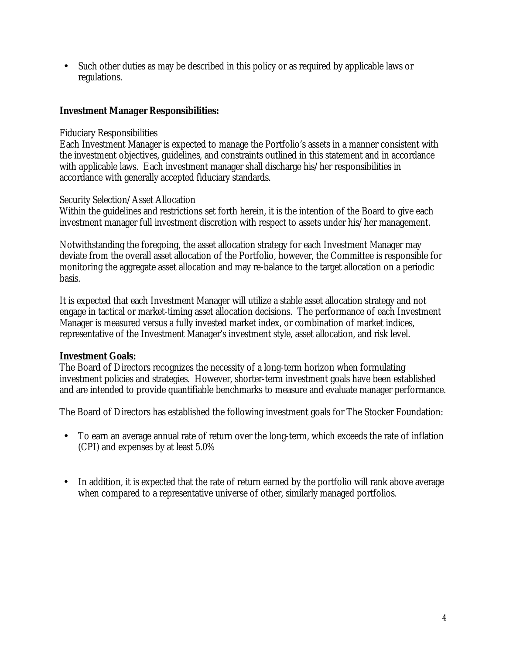Such other duties as may be described in this policy or as required by applicable laws or t, regulations.

#### **Investment Manager Responsibilities:**

#### Fiduciary Responsibilities

Each Investment Manager is expected to manage the Portfolio's assets in a manner consistent with the investment objectives, guidelines, and constraints outlined in this statement and in accordance with applicable laws. Each investment manager shall discharge his/her responsibilities in accordance with generally accepted fiduciary standards.

#### Security Selection/Asset Allocation

Within the guidelines and restrictions set forth herein, it is the intention of the Board to give each investment manager full investment discretion with respect to assets under his/her management.

Notwithstanding the foregoing, the asset allocation strategy for each Investment Manager may deviate from the overall asset allocation of the Portfolio, however, the Committee is responsible for monitoring the aggregate asset allocation and may re-balance to the target allocation on a periodic basis.

It is expected that each Investment Manager will utilize a stable asset allocation strategy and not engage in tactical or market-timing asset allocation decisions. The performance of each Investment Manager is measured versus a fully invested market index, or combination of market indices, representative of the Investment Manager's investment style, asset allocation, and risk level.

#### **Investment Goals:**

The Board of Directors recognizes the necessity of a long-term horizon when formulating investment policies and strategies. However, shorter-term investment goals have been established and are intended to provide quantifiable benchmarks to measure and evaluate manager performance.

The Board of Directors has established the following investment goals for The Stocker Foundation:

- To earn an average annual rate of return over the long-term, which exceeds the rate of inflation t. (CPI) and expenses by at least 5.0%
- In addition, it is expected that the rate of return earned by the portfolio will rank above average ¥, when compared to a representative universe of other, similarly managed portfolios.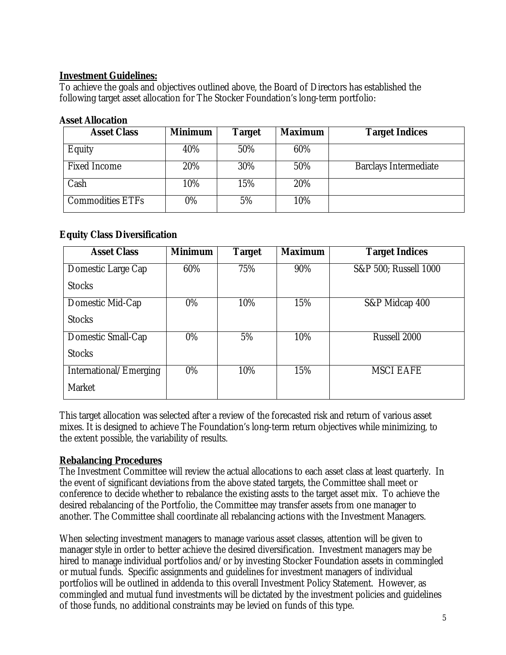## **Investment Guidelines:**

To achieve the goals and objectives outlined above, the Board of Directors has established the following target asset allocation for The Stocker Foundation's long-term portfolio:

#### **Asset Allocation**

| <b>Asset Class</b>      | <b>Minimum</b> | Target | <b>Maximum</b> | <b>Target Indices</b>        |
|-------------------------|----------------|--------|----------------|------------------------------|
| Equity                  | 40%            | 50%    | 60%            |                              |
| <b>Fixed Income</b>     | 20%            | 30%    | 50%            | <b>Barclays Intermediate</b> |
| Cash                    | 10%            | 15%    | 20%            |                              |
| <b>Commodities ETFs</b> | 0%             | 5%     | 10%            |                              |

## **Equity Class Diversification**

| <b>Asset Class</b>     | <b>Minimum</b> | <b>Target</b> | <b>Maximum</b> | <b>Target Indices</b> |
|------------------------|----------------|---------------|----------------|-----------------------|
| Domestic Large Cap     | 60%            | 75%           | 90%            | S&P 500; Russell 1000 |
| <b>Stocks</b>          |                |               |                |                       |
| Domestic Mid-Cap       | $0\%$          | 10%           | 15%            | S&P Midcap 400        |
| <b>Stocks</b>          |                |               |                |                       |
| Domestic Small-Cap     | $0\%$          | 5%            | 10%            | Russell 2000          |
| <b>Stocks</b>          |                |               |                |                       |
| International/Emerging | 0%             | 10%           | 15%            | <b>MSCI EAFE</b>      |
| Market                 |                |               |                |                       |

This target allocation was selected after a review of the forecasted risk and return of various asset mixes. It is designed to achieve The Foundation's long-term return objectives while minimizing, to the extent possible, the variability of results.

#### **Rebalancing Procedures**

The Investment Committee will review the actual allocations to each asset class at least quarterly. In the event of significant deviations from the above stated targets, the Committee shall meet or conference to decide whether to rebalance the existing assts to the target asset mix. To achieve the desired rebalancing of the Portfolio, the Committee may transfer assets from one manager to another. The Committee shall coordinate all rebalancing actions with the Investment Managers.

When selecting investment managers to manage various asset classes, attention will be given to manager style in order to better achieve the desired diversification. Investment managers may be hired to manage individual portfolios and/or by investing Stocker Foundation assets in commingled or mutual funds. Specific assignments and guidelines for investment managers of individual portfolios will be outlined in addenda to this overall Investment Policy Statement. However, as commingled and mutual fund investments will be dictated by the investment policies and guidelines of those funds, no additional constraints may be levied on funds of this type.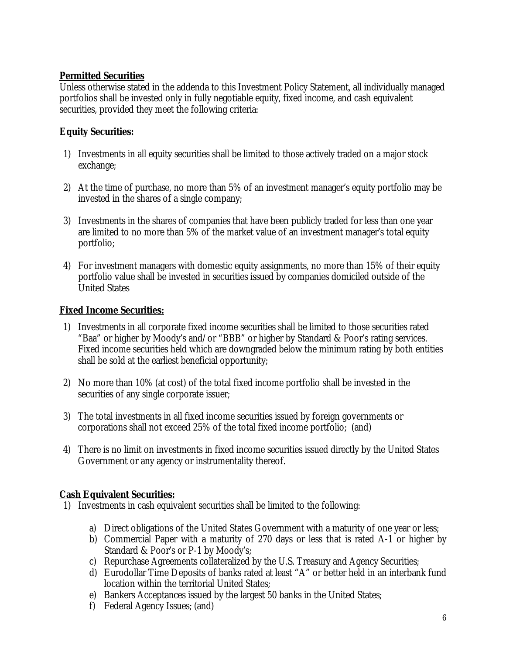## **Permitted Securities**

Unless otherwise stated in the addenda to this Investment Policy Statement, all individually managed portfolios shall be invested only in fully negotiable equity, fixed income, and cash equivalent securities, provided they meet the following criteria:

# **Equity Securities:**

- 1) Investments in all equity securities shall be limited to those actively traded on a major stock exchange;
- 2) At the time of purchase, no more than 5% of an investment manager's equity portfolio may be invested in the shares of a single company;
- 3) Investments in the shares of companies that have been publicly traded for less than one year are limited to no more than 5% of the market value of an investment manager's total equity portfolio;
- 4) For investment managers with domestic equity assignments, no more than 15% of their equity portfolio value shall be invested in securities issued by companies domiciled outside of the United States

## **Fixed Income Securities:**

- 1) Investments in all corporate fixed income securities shall be limited to those securities rated "Baa" or higher by Moody's and/or "BBB" or higher by Standard & Poor's rating services. Fixed income securities held which are downgraded below the minimum rating by both entities shall be sold at the earliest beneficial opportunity;
- 2) No more than 10% (at cost) of the total fixed income portfolio shall be invested in the securities of any single corporate issuer;
- 3) The total investments in all fixed income securities issued by foreign governments or corporations shall not exceed 25% of the total fixed income portfolio; (and)
- 4) There is no limit on investments in fixed income securities issued directly by the United States Government or any agency or instrumentality thereof.

## **Cash Equivalent Securities:**

- 1) Investments in cash equivalent securities shall be limited to the following:
	- a) Direct obligations of the United States Government with a maturity of one year or less;
	- b) Commercial Paper with a maturity of 270 days or less that is rated A-1 or higher by Standard & Poor's or P-1 by Moody's;
	- c) Repurchase Agreements collateralized by the U.S. Treasury and Agency Securities;
	- d) Eurodollar Time Deposits of banks rated at least "A" or better held in an interbank fund location within the territorial United States;
	- e) Bankers Acceptances issued by the largest 50 banks in the United States;
	- f) Federal Agency Issues; (and)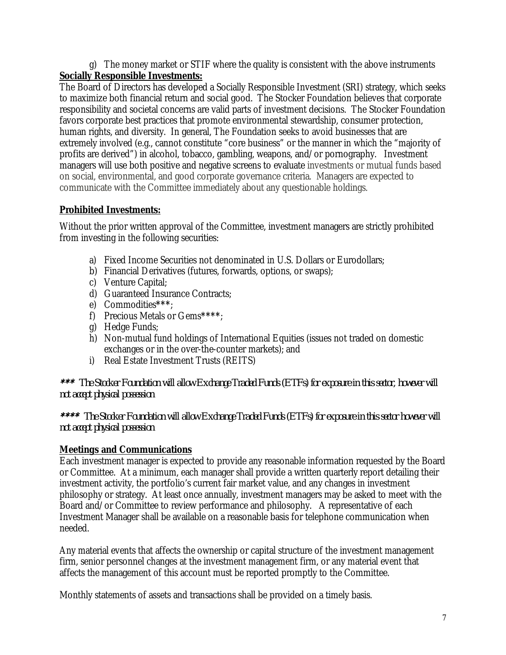g) The money market or STIF where the quality is consistent with the above instruments **Socially Responsible Investments:**

The Board of Directors has developed a Socially Responsible Investment (SRI) strategy, which seeks to maximize both financial return and social good. The Stocker Foundation believes that corporate responsibility and societal concerns are valid parts of investment decisions. The Stocker Foundation favors corporate best practices that promote environmental stewardship, consumer protection, human rights, and diversity. In general, The Foundation seeks to avoid businesses that are extremely involved (e.g., cannot constitute "core business" or the manner in which the "majority of profits are derived") in alcohol, tobacco, gambling, weapons, and/or pornography. Investment managers will use both positive and negative screens to evaluate investments or mutual funds based on social, environmental, and good corporate governance criteria. Managers are expected to communicate with the Committee immediately about any questionable holdings.

# **Prohibited Investments:**

Without the prior written approval of the Committee, investment managers are strictly prohibited from investing in the following securities:

- a) Fixed Income Securities not denominated in U.S. Dollars or Eurodollars;
- b) Financial Derivatives (futures, forwards, options, or swaps);
- c) Venture Capital;
- d) Guaranteed Insurance Contracts;
- e) Commodities**\*\*\***;
- f) Precious Metals or Gems**\*\*\*\***;
- g) Hedge Funds;
- h) Non-mutual fund holdings of International Equities (issues not traded on domestic exchanges or in the over-the-counter markets); and
- i) Real Estate Investment Trusts (REITS)

\*\*\* *The Stocker Foundation will allow Exchange Traded Funds (ETFs) for exposure in this sector, however will not accept physical possession*

\*\*\*\* *The Stocker Foundation will allow Exchange Traded Funds (ETFs) for exposure in this sector however will not accept physical possession*

# **Meetings and Communications**

Each investment manager is expected to provide any reasonable information requested by the Board or Committee. At a minimum, each manager shall provide a written quarterly report detailing their investment activity, the portfolio's current fair market value, and any changes in investment philosophy or strategy. At least once annually, investment managers may be asked to meet with the Board and/or Committee to review performance and philosophy. A representative of each Investment Manager shall be available on a reasonable basis for telephone communication when needed.

Any material events that affects the ownership or capital structure of the investment management firm, senior personnel changes at the investment management firm, or any material event that affects the management of this account must be reported promptly to the Committee.

Monthly statements of assets and transactions shall be provided on a timely basis.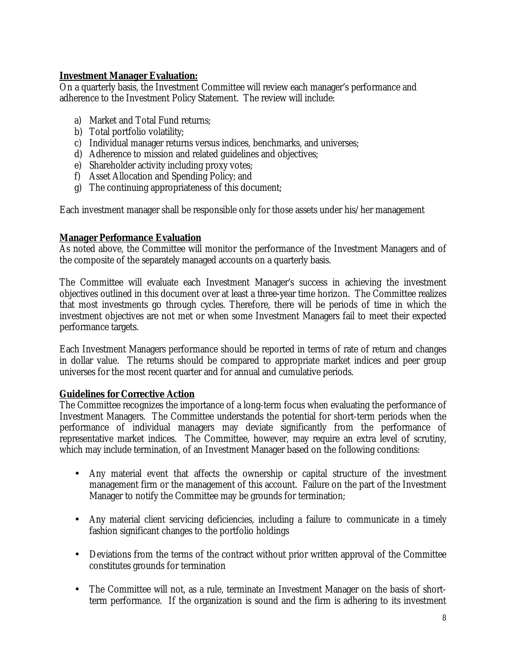#### **Investment Manager Evaluation:**

On a quarterly basis, the Investment Committee will review each manager's performance and adherence to the Investment Policy Statement. The review will include:

- a) Market and Total Fund returns;
- b) Total portfolio volatility;
- c) Individual manager returns versus indices, benchmarks, and universes;
- d) Adherence to mission and related guidelines and objectives;
- e) Shareholder activity including proxy votes;
- f) Asset Allocation and Spending Policy; and
- g) The continuing appropriateness of this document;

Each investment manager shall be responsible only for those assets under his/her management

#### **Manager Performance Evaluation**

As noted above, the Committee will monitor the performance of the Investment Managers and of the composite of the separately managed accounts on a quarterly basis.

The Committee will evaluate each Investment Manager's success in achieving the investment objectives outlined in this document over at least a three-year time horizon. The Committee realizes that most investments go through cycles. Therefore, there will be periods of time in which the investment objectives are not met or when some Investment Managers fail to meet their expected performance targets.

Each Investment Managers performance should be reported in terms of rate of return and changes in dollar value. The returns should be compared to appropriate market indices and peer group universes for the most recent quarter and for annual and cumulative periods.

#### **Guidelines for Corrective Action**

The Committee recognizes the importance of a long-term focus when evaluating the performance of Investment Managers. The Committee understands the potential for short-term periods when the performance of individual managers may deviate significantly from the performance of representative market indices. The Committee, however, may require an extra level of scrutiny, which may include termination, of an Investment Manager based on the following conditions:

- Any material event that affects the ownership or capital structure of the investment management firm or the management of this account. Failure on the part of the Investment Manager to notify the Committee may be grounds for termination;
- Any material client servicing deficiencies, including a failure to communicate in a timely fashion significant changes to the portfolio holdings
- Deviations from the terms of the contract without prior written approval of the Committee constitutes grounds for termination
- The Committee will not, as a rule, terminate an Investment Manager on the basis of short- $\mathbf{r}$ term performance. If the organization is sound and the firm is adhering to its investment